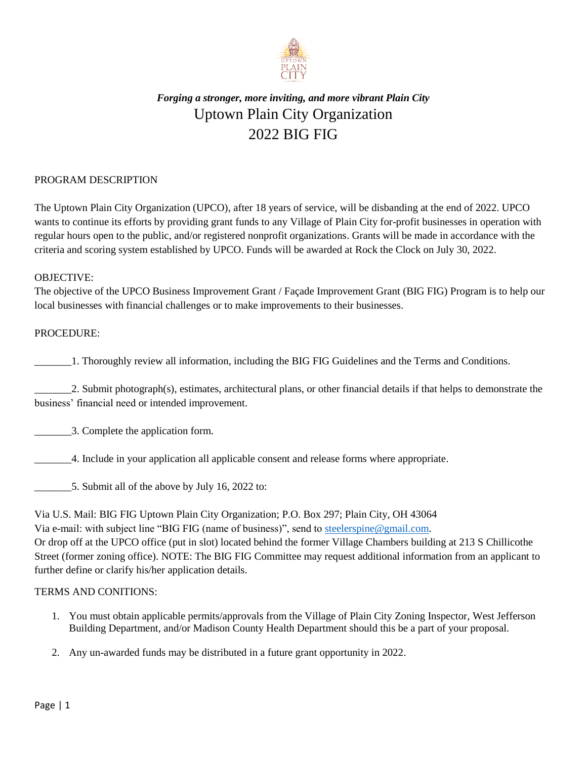

# *Forging a stronger, more inviting, and more vibrant Plain City* Uptown Plain City Organization 2022 BIG FIG

### PROGRAM DESCRIPTION

The Uptown Plain City Organization (UPCO), after 18 years of service, will be disbanding at the end of 2022. UPCO wants to continue its efforts by providing grant funds to any Village of Plain City for-profit businesses in operation with regular hours open to the public, and/or registered nonprofit organizations. Grants will be made in accordance with the criteria and scoring system established by UPCO. Funds will be awarded at Rock the Clock on July 30, 2022.

#### OBJECTIVE:

The objective of the UPCO Business Improvement Grant / Façade Improvement Grant (BIG FIG) Program is to help our local businesses with financial challenges or to make improvements to their businesses.

#### PROCEDURE:

\_\_\_\_\_\_\_1. Thoroughly review all information, including the BIG FIG Guidelines and the Terms and Conditions.

\_\_\_\_\_\_\_2. Submit photograph(s), estimates, architectural plans, or other financial details if that helps to demonstrate the business' financial need or intended improvement.

\_\_\_\_\_\_\_3. Complete the application form.

\_\_\_\_\_\_\_4. Include in your application all applicable consent and release forms where appropriate.

\_\_\_\_\_\_\_5. Submit all of the above by July 16, 2022 to:

Via U.S. Mail: BIG FIG Uptown Plain City Organization; P.O. Box 297; Plain City, OH 43064 Via e-mail: with subject line "BIG FIG (name of business)", send t[o steelerspine@gmail.com.](mailto:steelerspine@gmail.com) Or drop off at the UPCO office (put in slot) located behind the former Village Chambers building at 213 S Chillicothe Street (former zoning office). NOTE: The BIG FIG Committee may request additional information from an applicant to further define or clarify his/her application details.

#### TERMS AND CONITIONS:

- 1. You must obtain applicable permits/approvals from the Village of Plain City Zoning Inspector, West Jefferson Building Department, and/or Madison County Health Department should this be a part of your proposal.
- 2. Any un-awarded funds may be distributed in a future grant opportunity in 2022.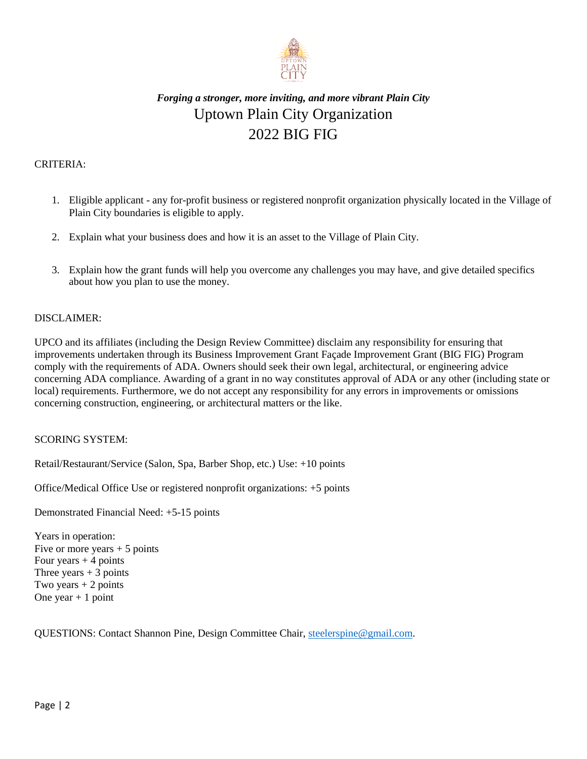

## *Forging a stronger, more inviting, and more vibrant Plain City* Uptown Plain City Organization 2022 BIG FIG

## CRITERIA:

- 1. Eligible applicant any for-profit business or registered nonprofit organization physically located in the Village of Plain City boundaries is eligible to apply.
- 2. Explain what your business does and how it is an asset to the Village of Plain City.
- 3. Explain how the grant funds will help you overcome any challenges you may have, and give detailed specifics about how you plan to use the money.

### DISCLAIMER:

UPCO and its affiliates (including the Design Review Committee) disclaim any responsibility for ensuring that improvements undertaken through its Business Improvement Grant Façade Improvement Grant (BIG FIG) Program comply with the requirements of ADA. Owners should seek their own legal, architectural, or engineering advice concerning ADA compliance. Awarding of a grant in no way constitutes approval of ADA or any other (including state or local) requirements. Furthermore, we do not accept any responsibility for any errors in improvements or omissions concerning construction, engineering, or architectural matters or the like.

#### SCORING SYSTEM:

Retail/Restaurant/Service (Salon, Spa, Barber Shop, etc.) Use: +10 points

Office/Medical Office Use or registered nonprofit organizations: +5 points

Demonstrated Financial Need: +5-15 points

Years in operation: Five or more years  $+ 5$  points Four years  $+4$  points Three years  $+3$  points Two years  $+ 2$  points One year  $+1$  point

QUESTIONS: Contact Shannon Pine, Design Committee Chair[, steelerspine@gmail.com.](mailto:steelerspine@gmail.com)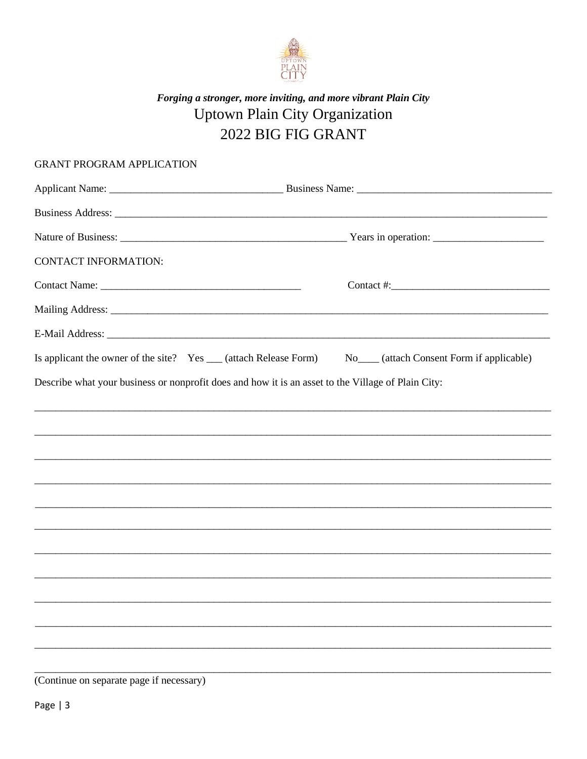

# Forging a stronger, more inviting, and more vibrant Plain City Uptown Plain City Organization 2022 BIG FIG GRANT

| <b>GRANT PROGRAM APPLICATION</b>                                                                   |                                                       |
|----------------------------------------------------------------------------------------------------|-------------------------------------------------------|
|                                                                                                    |                                                       |
|                                                                                                    |                                                       |
|                                                                                                    |                                                       |
| <b>CONTACT INFORMATION:</b>                                                                        |                                                       |
|                                                                                                    |                                                       |
|                                                                                                    |                                                       |
|                                                                                                    |                                                       |
| Is applicant the owner of the site? Yes __ (attach Release Form)                                   | No <sub>___</sub> (attach Consent Form if applicable) |
| Describe what your business or nonprofit does and how it is an asset to the Village of Plain City: |                                                       |
|                                                                                                    |                                                       |
|                                                                                                    |                                                       |
|                                                                                                    |                                                       |
|                                                                                                    |                                                       |
|                                                                                                    |                                                       |
|                                                                                                    |                                                       |
|                                                                                                    |                                                       |
|                                                                                                    |                                                       |
|                                                                                                    |                                                       |
|                                                                                                    |                                                       |
|                                                                                                    |                                                       |

(Continue on separate page if necessary)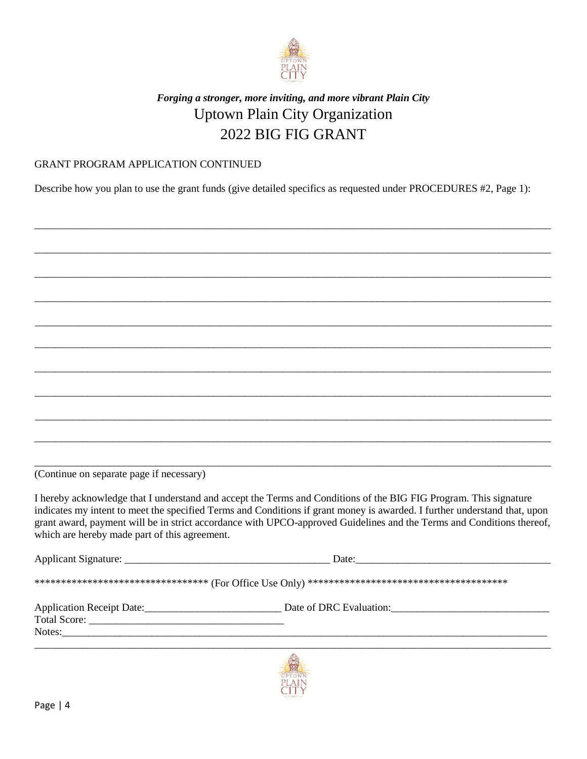

## *Forging a stronger, more inviting, and more vibrant Plain City* Uptown Plain City Organization 2022 BIG FIG GRANT

### GRANT PROGRAM APPLICATION CONTINUED

Describe how you plan to use the grant funds (give detailed specifics as requested under PROCEDURES #2, Page 1):

| (Continue on separate page if necessary)      |                                                                                                                                                                                                                                                                                                                                                                         |
|-----------------------------------------------|-------------------------------------------------------------------------------------------------------------------------------------------------------------------------------------------------------------------------------------------------------------------------------------------------------------------------------------------------------------------------|
| which are hereby made part of this agreement. | I hereby acknowledge that I understand and accept the Terms and Conditions of the BIG FIG Program. This signature<br>indicates my intent to meet the specified Terms and Conditions if grant money is awarded. I further understand that, upon<br>grant award, payment will be in strict accordance with UPCO-approved Guidelines and the Terms and Conditions thereof, |
|                                               |                                                                                                                                                                                                                                                                                                                                                                         |
|                                               |                                                                                                                                                                                                                                                                                                                                                                         |
|                                               |                                                                                                                                                                                                                                                                                                                                                                         |
|                                               |                                                                                                                                                                                                                                                                                                                                                                         |
|                                               |                                                                                                                                                                                                                                                                                                                                                                         |
|                                               |                                                                                                                                                                                                                                                                                                                                                                         |
|                                               | R.                                                                                                                                                                                                                                                                                                                                                                      |